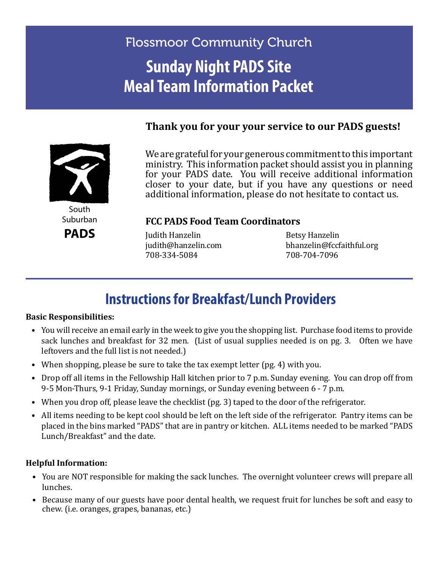# Flossmoor Community Church **Sunday Night PADS Site Meal Team Information Packet**

#### **Thank you for your your service to our PADS guests!**



We are grateful for your generous commitment to this important ministry. This information packet should assist you in planning for your PADS date. You will receive additional information closer to your date, but if you have any questions or need additional information, please do not hesitate to contact us.

Suburban **PADS**

#### **FCC PADS Food Team Coordinators**

Judith Hanzelin Betsy Hanzelin 708-334-5084

bhanzelin@fccfaithful.org<br>708-704-7096

## **Instructions for Breakfast/Lunch Providers**

#### **Basic Responsibilities:**

- You will receive an email early in the week to give you the shopping list. Purchase food items to provide sack lunches and breakfast for 32 men. (List of usual supplies needed is on pg. 3. Often we have leftovers and the full list is not needed.)
- When shopping, please be sure to take the tax exempt letter (pg. 4) with you.
- Drop off all items in the Fellowship Hall kitchen prior to 7 p.m. Sunday evening. You can drop off from 9-5 Mon-Thurs, 9-1 Friday, Sunday mornings, or Sunday evening between 6 - 7 p.m.
- When you drop off, please leave the checklist (pg. 3) taped to the door of the refrigerator.
- All items needing to be kept cool should be left on the left side of the refrigerator. Pantry items can be placed in the bins marked "PADS" that are in pantry or kitchen. ALL items needed to be marked "PADS Lunch/Breakfast" and the date.

#### **Helpful Information:**

- You are NOT responsible for making the sack lunches. The overnight volunteer crews will prepare all lunches.
- Because many of our guests have poor dental health, we request fruit for lunches be soft and easy to chew. (i.e. oranges, grapes, bananas, etc.)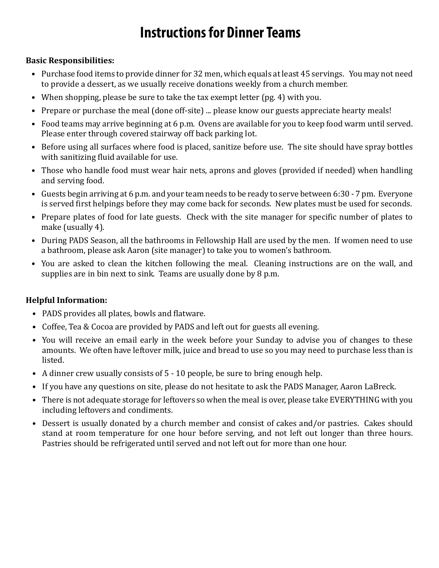# **Instructions for Dinner Teams**

#### **Basic Responsibilities:**

- Purchase food items to provide dinner for 32 men, which equals at least 45 servings. You may not need to provide a dessert, as we usually receive donations weekly from a church member.
- When shopping, please be sure to take the tax exempt letter (pg. 4) with you.
- Prepare or purchase the meal (done off-site) ... please know our guests appreciate hearty meals!
- Food teams may arrive beginning at 6 p.m. Ovens are available for you to keep food warm until served. Please enter through covered stairway off back parking lot.
- Before using all surfaces where food is placed, sanitize before use. The site should have spray bottles with sanitizing fluid available for use.
- Those who handle food must wear hair nets, aprons and gloves (provided if needed) when handling and serving food.
- Guests begin arriving at 6 p.m. and your team needs to be ready to serve between 6:30 7 pm. Everyone is served first helpings before they may come back for seconds. New plates must be used for seconds.
- Prepare plates of food for late guests. Check with the site manager for specific number of plates to make (usually 4).
- During PADS Season, all the bathrooms in Fellowship Hall are used by the men. If women need to use a bathroom, please ask Aaron (site manager) to take you to women's bathroom.
- You are asked to clean the kitchen following the meal. Cleaning instructions are on the wall, and supplies are in bin next to sink. Teams are usually done by 8 p.m.

#### **Helpful Information:**

- PADS provides all plates, bowls and flatware.
- Coffee, Tea & Cocoa are provided by PADS and left out for guests all evening.
- You will receive an email early in the week before your Sunday to advise you of changes to these amounts. We often have leftover milk, juice and bread to use so you may need to purchase less than is listed.
- A dinner crew usually consists of 5 10 people, be sure to bring enough help.
- If you have any questions on site, please do not hesitate to ask the PADS Manager, Aaron LaBreck.
- There is not adequate storage for leftovers so when the meal is over, please take EVERYTHING with you including leftovers and condiments.
- Dessert is usually donated by a church member and consist of cakes and/or pastries. Cakes should stand at room temperature for one hour before serving, and not left out longer than three hours. Pastries should be refrigerated until served and not left out for more than one hour.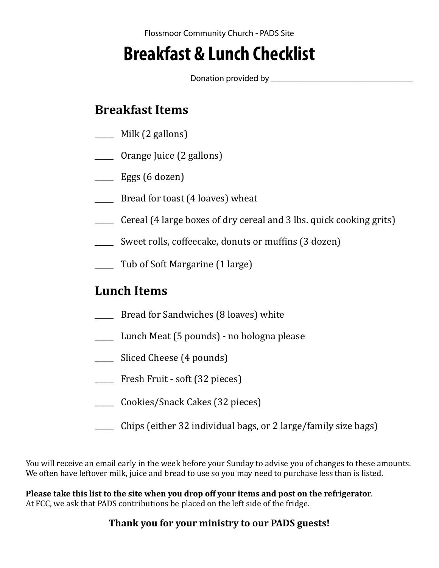# **Breakfast & Lunch Checklist**

Donation provided by \_\_\_\_\_\_\_\_\_\_\_\_\_\_\_\_\_\_\_\_\_\_\_\_\_\_\_\_\_\_\_\_\_

## **Breakfast Items**

- \_\_\_\_\_ Milk (2 gallons)
- \_\_\_\_\_ Orange Juice (2 gallons)
- $\frac{1}{\sqrt{2}}$  Eggs (6 dozen)
- **\_\_\_\_\_** Bread for toast (4 loaves) wheat
- \_\_\_\_\_ Cereal (4 large boxes of dry cereal and 3 lbs. quick cooking grits)
- \_\_\_\_\_ Sweet rolls, coffeecake, donuts or muffins (3 dozen)
- \_\_\_\_\_ Tub of Soft Margarine (1 large)

### **Lunch Items**

- \_\_\_\_\_ Bread for Sandwiches (8 loaves) white
- \_\_\_\_\_ Lunch Meat (5 pounds) no bologna please
- \_\_\_\_\_ Sliced Cheese (4 pounds)
- \_\_\_\_\_ Fresh Fruit soft (32 pieces)
- \_\_\_\_\_ Cookies/Snack Cakes (32 pieces)
- \_\_\_\_\_ Chips (either 32 individual bags, or 2 large/family size bags)

You will receive an email early in the week before your Sunday to advise you of changes to these amounts. We often have leftover milk, juice and bread to use so you may need to purchase less than is listed.

**Please take this list to the site when you drop off your items and post on the refrigerator**. At FCC, we ask that PADS contributions be placed on the left side of the fridge.

#### **Thank you for your ministry to our PADS guests!**